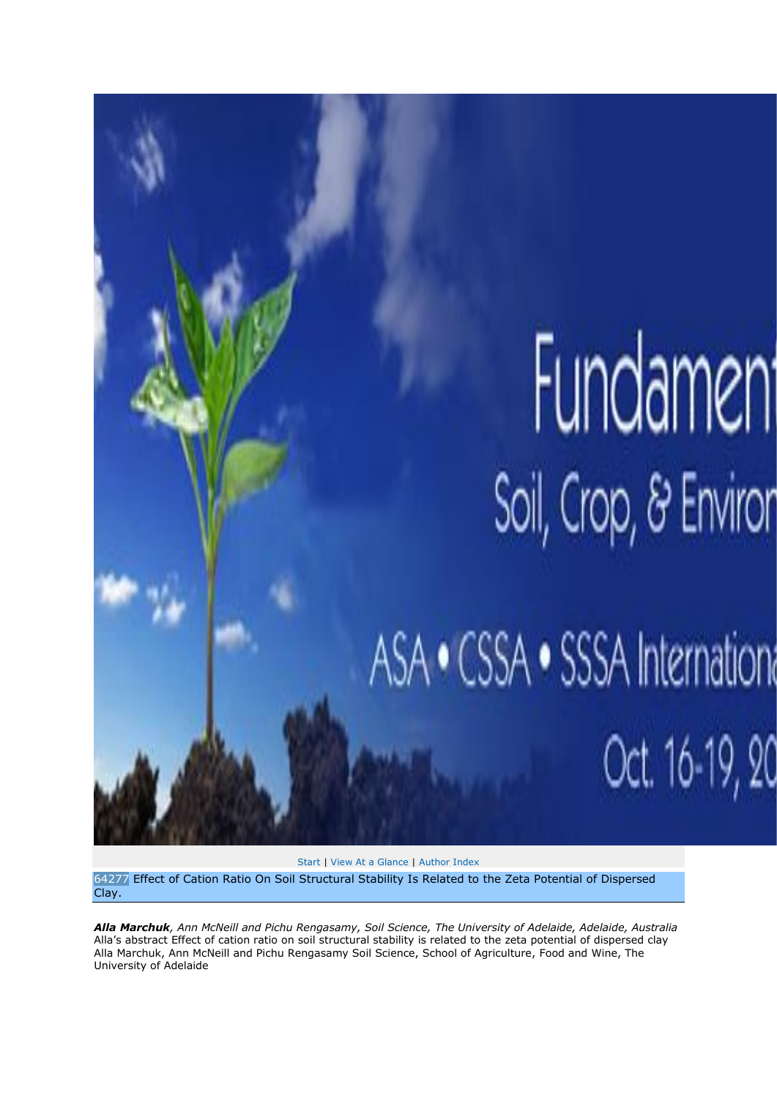## Fundament Soil, Crop, & Enviror

Oct. 16-19, 20

ASA · CSSA · SSSA International

[Start](https://scisoc.confex.com/crops/2011am/webprogram/start.html) [| View At a Glance](https://scisoc.confex.com/crops/2011am/webprogram/ataglance.html) | [Author Index](https://scisoc.confex.com/crops/2011am/webprogram/authora.html)

64277 Effect of Cation Ratio On Soil Structural Stability Is Related to the Zeta Potential of Dispersed Clay.

*Alla Marchuk, Ann McNeill and Pichu Rengasamy, Soil Science, The University of Adelaide, Adelaide, Australia*  Alla's abstract Effect of cation ratio on soil structural stability is related to the zeta potential of dispersed clay Alla Marchuk, Ann McNeill and Pichu Rengasamy Soil Science, School of Agriculture, Food and Wine, The University of Adelaide